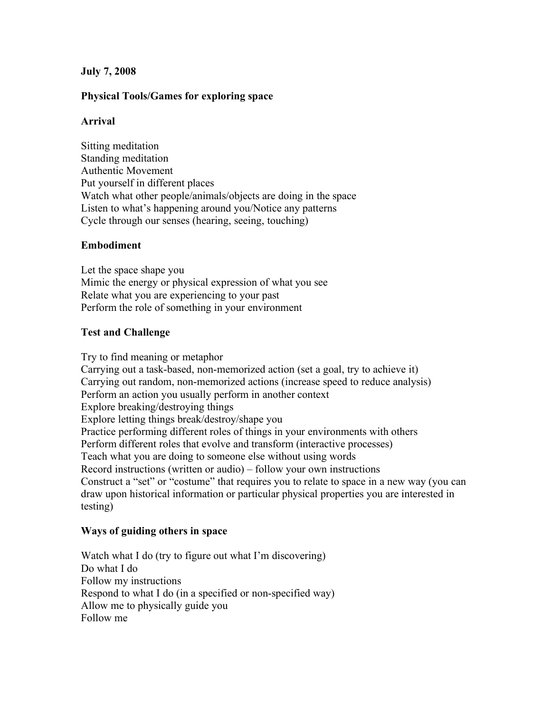# **July 7, 2008**

# **Physical Tools/Games for exploring space**

### **Arrival**

Sitting meditation Standing meditation Authentic Movement Put yourself in different places Watch what other people/animals/objects are doing in the space Listen to what's happening around you/Notice any patterns Cycle through our senses (hearing, seeing, touching)

### **Embodiment**

Let the space shape you Mimic the energy or physical expression of what you see Relate what you are experiencing to your past Perform the role of something in your environment

### **Test and Challenge**

Try to find meaning or metaphor Carrying out a task-based, non-memorized action (set a goal, try to achieve it) Carrying out random, non-memorized actions (increase speed to reduce analysis) Perform an action you usually perform in another context Explore breaking/destroying things Explore letting things break/destroy/shape you Practice performing different roles of things in your environments with others Perform different roles that evolve and transform (interactive processes) Teach what you are doing to someone else without using words Record instructions (written or audio) – follow your own instructions Construct a "set" or "costume" that requires you to relate to space in a new way (you can draw upon historical information or particular physical properties you are interested in testing)

### **Ways of guiding others in space**

Watch what I do (try to figure out what I'm discovering) Do what I do Follow my instructions Respond to what I do (in a specified or non-specified way) Allow me to physically guide you Follow me